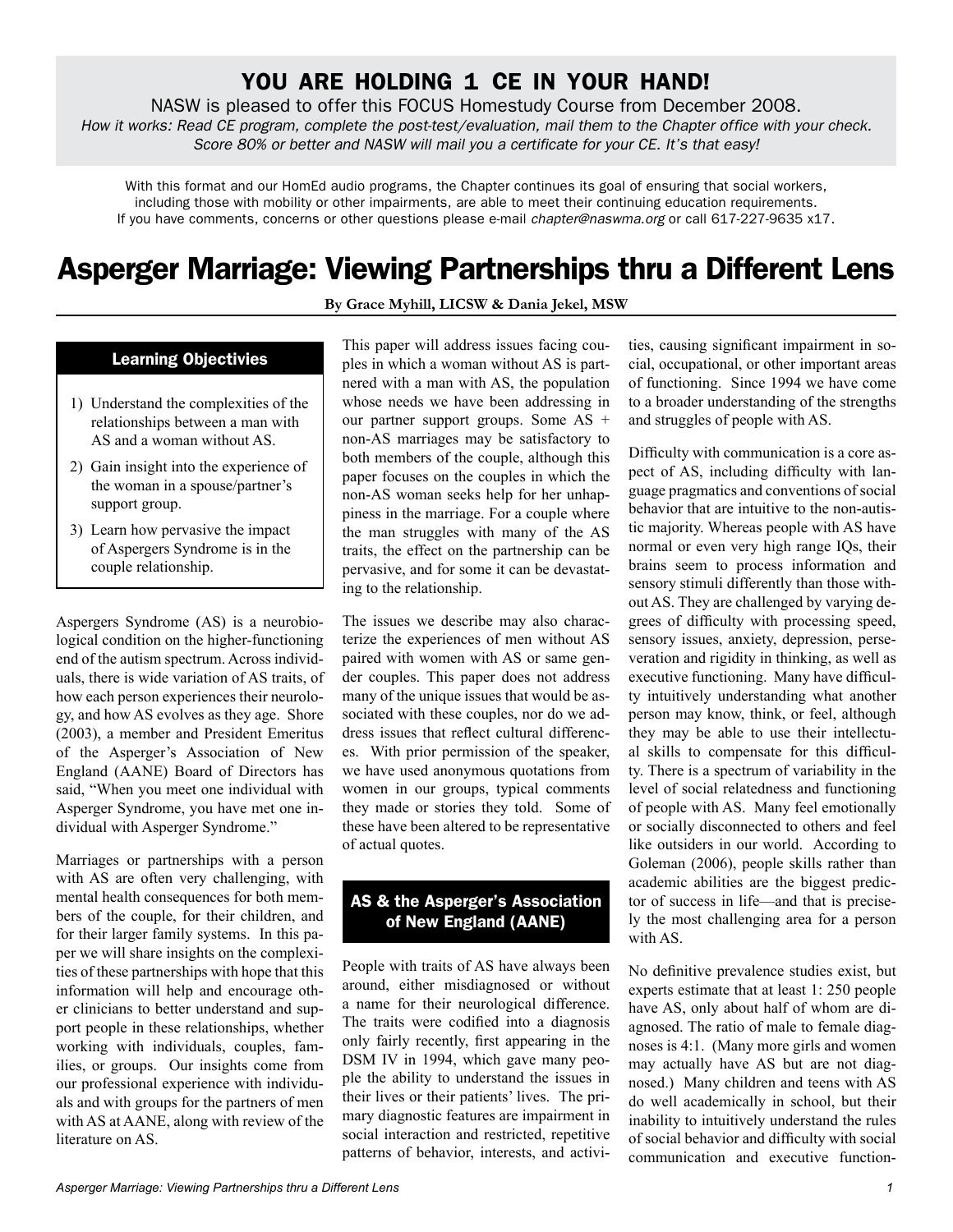## YOU ARE HOLDING 1 CE IN YOUR HAND!

NASW is pleased to offer this FOCUS Homestudy Course from December 2008. *How it works: Read CE program, complete the post-test/evaluation, mail them to the Chapter office with your check. Score 80% or better and NASW will mail you a certificate for your CE. It's that easy!*

With this format and our HomEd audio programs, the Chapter continues its goal of ensuring that social workers, including those with mobility or other impairments, are able to meet their continuing education requirements. If you have comments, concerns or other questions please e-mail *chapter@naswma.org* or call 617-227-9635 x17.

# **Asperger Marriage: Viewing Partnerships thru a Different Lens**

**By Grace Myhill, LICSW & Dania Jekel, MSW**

#### **Learning Objectivies**

- 1) Understand the complexities of the relationships between a man with AS and a woman without AS.
- 2) Gain insight into the experience of the woman in a spouse/partner's support group.
- 3) Learn how pervasive the impact of Aspergers Syndrome is in the couple relationship.

Aspergers Syndrome (AS) is a neurobiological condition on the higher-functioning end of the autism spectrum. Across individuals, there is wide variation of AS traits, of how each person experiences their neurology, and how AS evolves as they age. Shore (2003), a member and President Emeritus of the Asperger's Association of New England (AANE) Board of Directors has said, "When you meet one individual with Asperger Syndrome, you have met one individual with Asperger Syndrome."

Marriages or partnerships with a person with AS are often very challenging, with mental health consequences for both members of the couple, for their children, and for their larger family systems. In this paper we will share insights on the complexities of these partnerships with hope that this information will help and encourage other clinicians to better understand and support people in these relationships, whether working with individuals, couples, families, or groups. Our insights come from our professional experience with individuals and with groups for the partners of men with AS at AANE, along with review of the literature on AS.

This paper will address issues facing couples in which a woman without AS is partnered with a man with AS, the population whose needs we have been addressing in our partner support groups. Some AS + non-AS marriages may be satisfactory to both members of the couple, although this paper focuses on the couples in which the non-AS woman seeks help for her unhappiness in the marriage. For a couple where the man struggles with many of the AS traits, the effect on the partnership can be pervasive, and for some it can be devastating to the relationship.

The issues we describe may also characterize the experiences of men without AS paired with women with AS or same gender couples. This paper does not address many of the unique issues that would be associated with these couples, nor do we address issues that reflect cultural differences. With prior permission of the speaker, we have used anonymous quotations from women in our groups, typical comments they made or stories they told. Some of these have been altered to be representative of actual quotes.

### **AS & the Asperger's Association of New England (AANE)**

People with traits of AS have always been around, either misdiagnosed or without a name for their neurological difference. The traits were codified into a diagnosis only fairly recently, first appearing in the DSM IV in 1994, which gave many people the ability to understand the issues in their lives or their patients' lives. The primary diagnostic features are impairment in social interaction and restricted, repetitive patterns of behavior, interests, and activities, causing significant impairment in social, occupational, or other important areas of functioning. Since 1994 we have come to a broader understanding of the strengths and struggles of people with AS.

Difficulty with communication is a core aspect of AS, including difficulty with language pragmatics and conventions of social behavior that are intuitive to the non-autistic majority. Whereas people with AS have normal or even very high range IQs, their brains seem to process information and sensory stimuli differently than those without AS. They are challenged by varying degrees of difficulty with processing speed, sensory issues, anxiety, depression, perseveration and rigidity in thinking, as well as executive functioning. Many have difficulty intuitively understanding what another person may know, think, or feel, although they may be able to use their intellectual skills to compensate for this difficulty. There is a spectrum of variability in the level of social relatedness and functioning of people with AS. Many feel emotionally or socially disconnected to others and feel like outsiders in our world. According to Goleman (2006), people skills rather than academic abilities are the biggest predictor of success in life—and that is precisely the most challenging area for a person with AS.

No definitive prevalence studies exist, but experts estimate that at least 1: 250 people have AS, only about half of whom are diagnosed. The ratio of male to female diagnoses is 4:1. (Many more girls and women may actually have AS but are not diagnosed.) Many children and teens with AS do well academically in school, but their inability to intuitively understand the rules of social behavior and difficulty with social communication and executive function-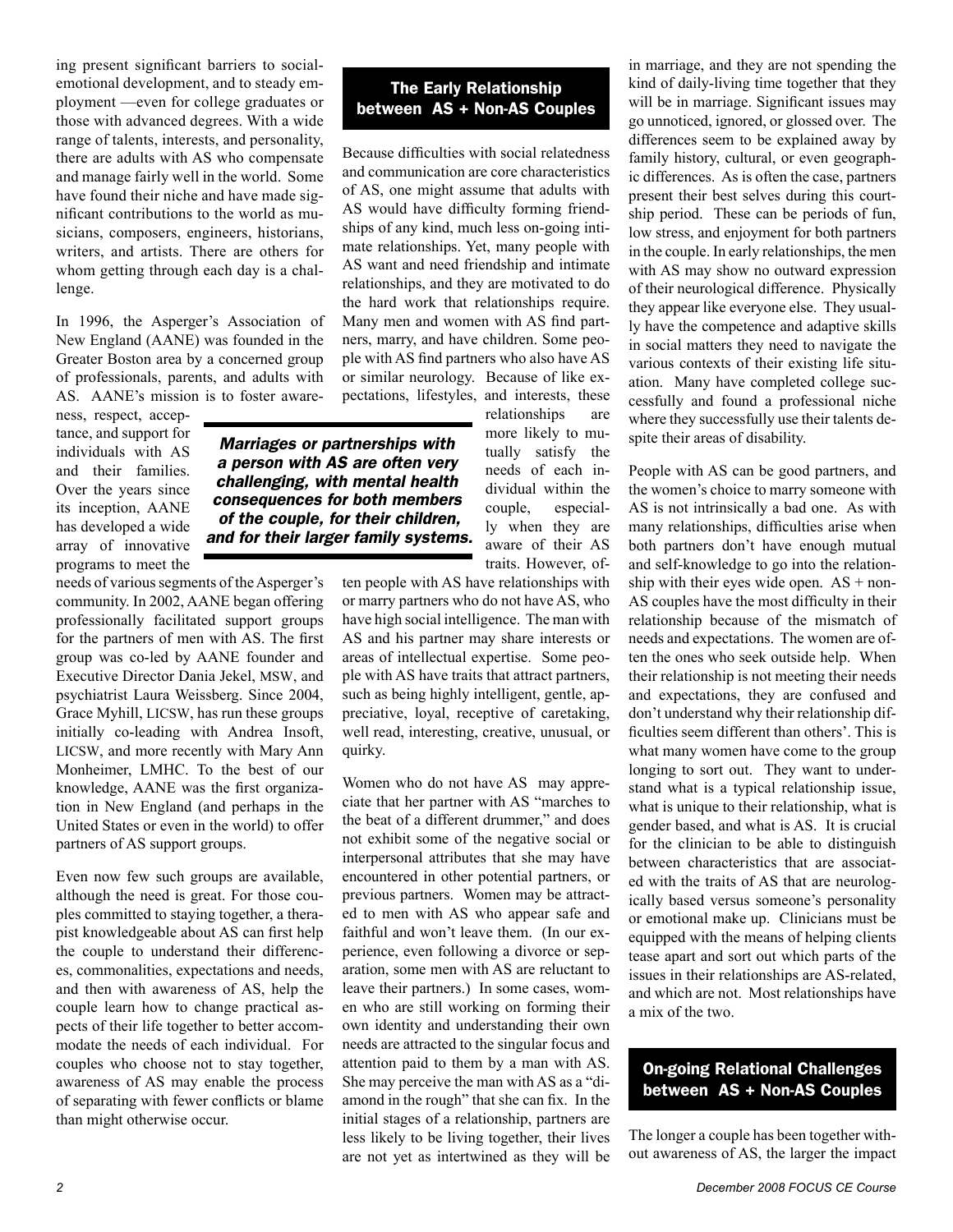ing present significant barriers to socialemotional development, and to steady employment —even for college graduates or those with advanced degrees. With a wide range of talents, interests, and personality, there are adults with AS who compensate and manage fairly well in the world. Some have found their niche and have made significant contributions to the world as musicians, composers, engineers, historians, writers, and artists. There are others for whom getting through each day is a challenge.

In 1996, the Asperger's Association of New England (AANE) was founded in the Greater Boston area by a concerned group of professionals, parents, and adults with AS. AANE's mission is to foster aware-

ness, respect, acceptance, and support for individuals with AS and their families. Over the years since its inception, AANE has developed a wide array of innovative programs to meet the

needs of various segments of the Asperger's community. In 2002, AANE began offering professionally facilitated support groups for the partners of men with AS. The first group was co-led by AANE founder and Executive Director Dania Jekel, MSW, and psychiatrist Laura Weissberg. Since 2004, Grace Myhill, LICSW, has run these groups initially co-leading with Andrea Insoft, LICSW, and more recently with Mary Ann Monheimer, LMHC. To the best of our knowledge, AANE was the first organization in New England (and perhaps in the United States or even in the world) to offer partners of AS support groups.

Even now few such groups are available, although the need is great. For those couples committed to staying together, a therapist knowledgeable about AS can first help the couple to understand their differences, commonalities, expectations and needs, and then with awareness of AS, help the couple learn how to change practical aspects of their life together to better accommodate the needs of each individual. For couples who choose not to stay together, awareness of AS may enable the process of separating with fewer conflicts or blame than might otherwise occur.

## **The Early Relationship between AS + Non-AS Couples**

Because difficulties with social relatedness and communication are core characteristics of AS, one might assume that adults with AS would have difficulty forming friendships of any kind, much less on-going intimate relationships. Yet, many people with AS want and need friendship and intimate relationships, and they are motivated to do the hard work that relationships require. Many men and women with AS find partners, marry, and have children. Some people with AS find partners who also have AS or similar neurology. Because of like expectations, lifestyles, and interests, these relationships are

> more likely to mutually satisfy the needs of each individual within the couple, especially when they are aware of their AS traits. However, of-

*Marriages or partnerships with a person with AS are often very challenging, with mental health consequences for both members of the couple, for their children, and for their larger family systems.* 

> ten people with AS have relationships with or marry partners who do not have AS, who have high social intelligence. The man with AS and his partner may share interests or areas of intellectual expertise. Some people with AS have traits that attract partners, such as being highly intelligent, gentle, appreciative, loyal, receptive of caretaking, well read, interesting, creative, unusual, or quirky.

> Women who do not have AS may appreciate that her partner with AS "marches to the beat of a different drummer," and does not exhibit some of the negative social or interpersonal attributes that she may have encountered in other potential partners, or previous partners. Women may be attracted to men with AS who appear safe and faithful and won't leave them. (In our experience, even following a divorce or separation, some men with AS are reluctant to leave their partners.) In some cases, women who are still working on forming their own identity and understanding their own needs are attracted to the singular focus and attention paid to them by a man with AS. She may perceive the man with AS as a "diamond in the rough" that she can fix. In the initial stages of a relationship, partners are less likely to be living together, their lives are not yet as intertwined as they will be

in marriage, and they are not spending the kind of daily-living time together that they will be in marriage. Significant issues may go unnoticed, ignored, or glossed over. The differences seem to be explained away by family history, cultural, or even geographic differences. As is often the case, partners present their best selves during this courtship period. These can be periods of fun, low stress, and enjoyment for both partners in the couple. In early relationships, the men with AS may show no outward expression of their neurological difference. Physically they appear like everyone else. They usually have the competence and adaptive skills in social matters they need to navigate the various contexts of their existing life situation. Many have completed college successfully and found a professional niche where they successfully use their talents despite their areas of disability.

People with AS can be good partners, and the women's choice to marry someone with AS is not intrinsically a bad one. As with many relationships, difficulties arise when both partners don't have enough mutual and self-knowledge to go into the relationship with their eyes wide open.  $AS + non-$ AS couples have the most difficulty in their relationship because of the mismatch of needs and expectations. The women are often the ones who seek outside help. When their relationship is not meeting their needs and expectations, they are confused and don't understand why their relationship difficulties seem different than others'. This is what many women have come to the group longing to sort out. They want to understand what is a typical relationship issue, what is unique to their relationship, what is gender based, and what is AS. It is crucial for the clinician to be able to distinguish between characteristics that are associated with the traits of AS that are neurologically based versus someone's personality or emotional make up. Clinicians must be equipped with the means of helping clients tease apart and sort out which parts of the issues in their relationships are AS-related, and which are not. Most relationships have a mix of the two.

## **On-going Relational Challenges between AS + Non-AS Couples**

The longer a couple has been together without awareness of AS, the larger the impact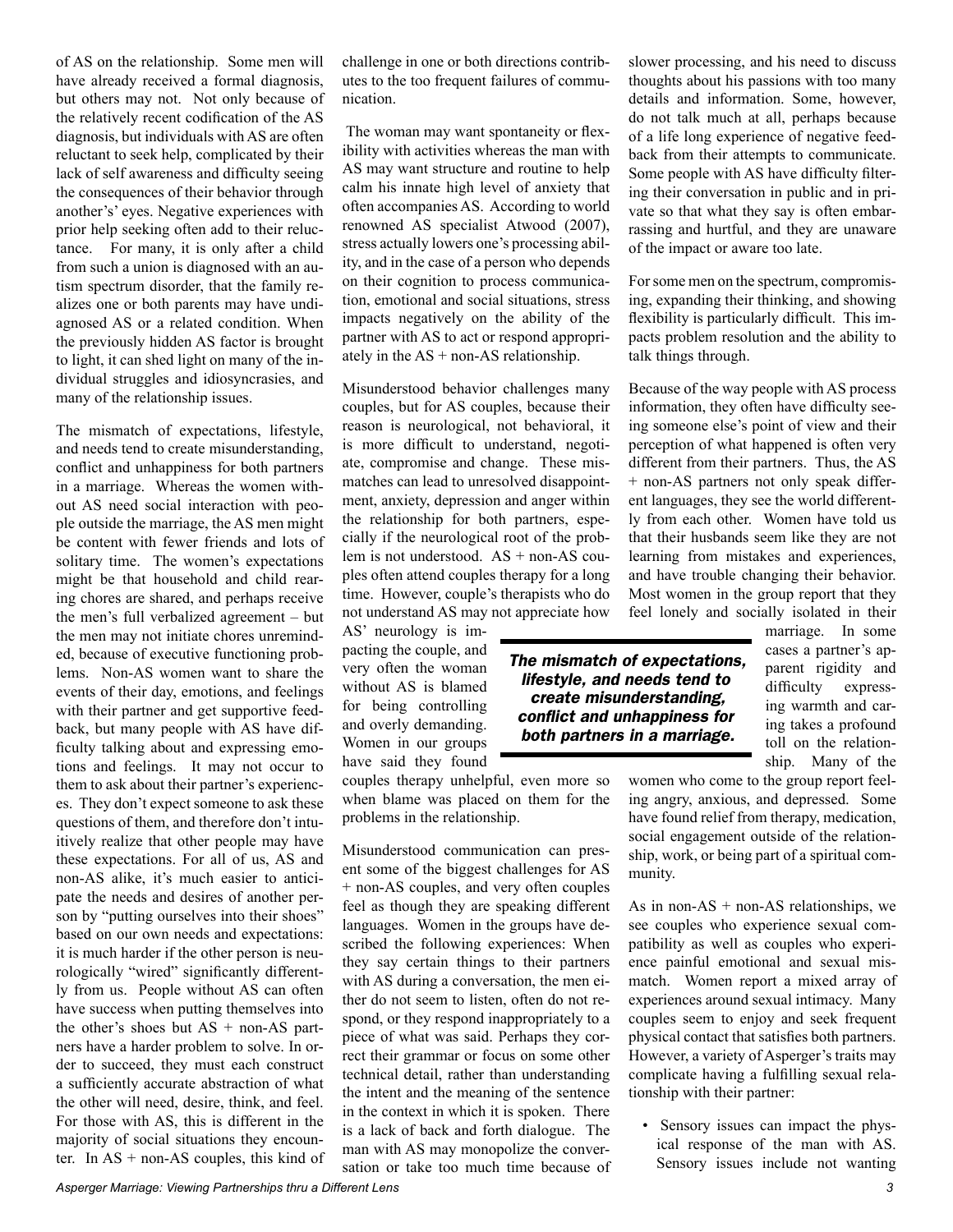of AS on the relationship. Some men will have already received a formal diagnosis, but others may not. Not only because of the relatively recent codification of the AS diagnosis, but individuals with AS are often reluctant to seek help, complicated by their lack of self awareness and difficulty seeing the consequences of their behavior through another's' eyes. Negative experiences with prior help seeking often add to their reluctance. For many, it is only after a child from such a union is diagnosed with an autism spectrum disorder, that the family realizes one or both parents may have undiagnosed AS or a related condition. When the previously hidden AS factor is brought to light, it can shed light on many of the individual struggles and idiosyncrasies, and many of the relationship issues.

The mismatch of expectations, lifestyle, and needs tend to create misunderstanding, conflict and unhappiness for both partners in a marriage. Whereas the women without AS need social interaction with people outside the marriage, the AS men might be content with fewer friends and lots of solitary time. The women's expectations might be that household and child rearing chores are shared, and perhaps receive the men's full verbalized agreement – but the men may not initiate chores unreminded, because of executive functioning problems. Non-AS women want to share the events of their day, emotions, and feelings with their partner and get supportive feedback, but many people with AS have difficulty talking about and expressing emotions and feelings. It may not occur to them to ask about their partner's experiences. They don't expect someone to ask these questions of them, and therefore don't intuitively realize that other people may have these expectations. For all of us, AS and non-AS alike, it's much easier to anticipate the needs and desires of another person by "putting ourselves into their shoes" based on our own needs and expectations: it is much harder if the other person is neurologically "wired" significantly differently from us. People without AS can often have success when putting themselves into the other's shoes but  $AS + non-AS$  partners have a harder problem to solve. In order to succeed, they must each construct a sufficiently accurate abstraction of what the other will need, desire, think, and feel. For those with AS, this is different in the majority of social situations they encounter. In  $AS + non-AS$  couples, this kind of

 The woman may want spontaneity or flexibility with activities whereas the man with AS may want structure and routine to help calm his innate high level of anxiety that often accompanies AS. According to world renowned AS specialist Atwood (2007), stress actually lowers one's processing ability, and in the case of a person who depends on their cognition to process communication, emotional and social situations, stress impacts negatively on the ability of the partner with AS to act or respond appropriately in the  $AS + non-AS$  relationship.

Misunderstood behavior challenges many couples, but for AS couples, because their reason is neurological, not behavioral, it is more difficult to understand, negotiate, compromise and change. These mismatches can lead to unresolved disappointment, anxiety, depression and anger within the relationship for both partners, especially if the neurological root of the problem is not understood. AS + non-AS couples often attend couples therapy for a long time. However, couple's therapists who do not understand AS may not appreciate how

AS' neurology is impacting the couple, and very often the woman without AS is blamed for being controlling and overly demanding. Women in our groups have said they found

couples therapy unhelpful, even more so when blame was placed on them for the problems in the relationship.

Misunderstood communication can present some of the biggest challenges for AS + non-AS couples, and very often couples feel as though they are speaking different languages. Women in the groups have described the following experiences: When they say certain things to their partners with AS during a conversation, the men either do not seem to listen, often do not respond, or they respond inappropriately to a piece of what was said. Perhaps they correct their grammar or focus on some other technical detail, rather than understanding the intent and the meaning of the sentence in the context in which it is spoken. There is a lack of back and forth dialogue. The man with AS may monopolize the conversation or take too much time because of

*Asperger Marriage: Viewing Partnerships thru a Different Lens* 

slower processing, and his need to discuss thoughts about his passions with too many details and information. Some, however, do not talk much at all, perhaps because of a life long experience of negative feedback from their attempts to communicate. Some people with AS have difficulty filtering their conversation in public and in private so that what they say is often embarrassing and hurtful, and they are unaware of the impact or aware too late.

For some men on the spectrum, compromising, expanding their thinking, and showing flexibility is particularly difficult. This impacts problem resolution and the ability to talk things through.

Because of the way people with AS process information, they often have difficulty seeing someone else's point of view and their perception of what happened is often very different from their partners. Thus, the AS + non-AS partners not only speak different languages, they see the world differently from each other. Women have told us that their husbands seem like they are not learning from mistakes and experiences, and have trouble changing their behavior. Most women in the group report that they feel lonely and socially isolated in their

marriage. In some cases a partner's apparent rigidity and difficulty expressing warmth and caring takes a profound toll on the relationship. Many of the

women who come to the group report feeling angry, anxious, and depressed. Some have found relief from therapy, medication, social engagement outside of the relationship, work, or being part of a spiritual community.

As in non-AS + non-AS relationships, we see couples who experience sexual compatibility as well as couples who experience painful emotional and sexual mismatch. Women report a mixed array of experiences around sexual intimacy. Many couples seem to enjoy and seek frequent physical contact that satisfies both partners. However, a variety of Asperger's traits may complicate having a fulfilling sexual relationship with their partner:

• Sensory issues can impact the physical response of the man with AS. Sensory issues include not wanting

*The mismatch of expectations, lifestyle, and needs tend to create misunderstanding, conflict and unhappiness for both partners in a marriage.*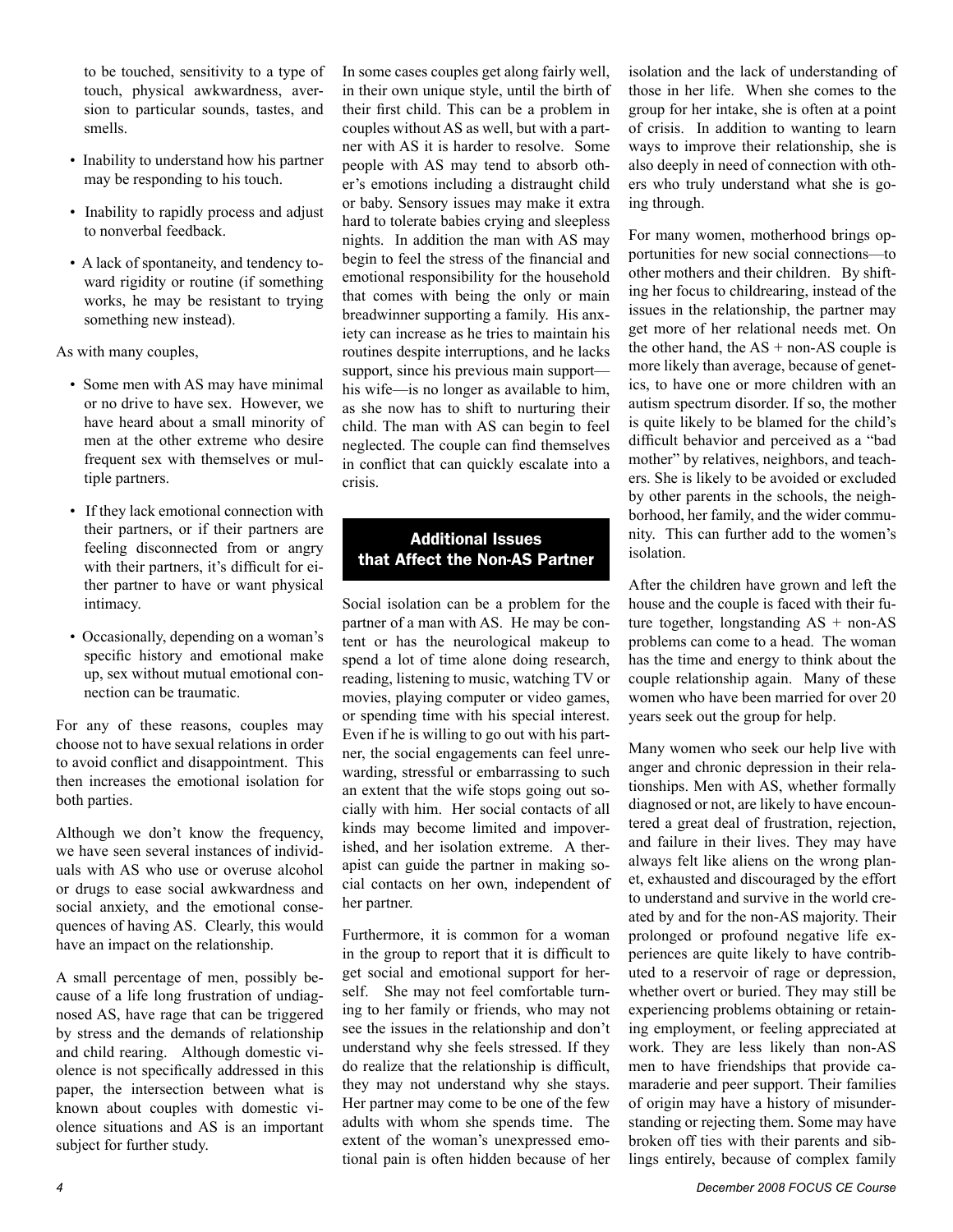to be touched, sensitivity to a type of touch, physical awkwardness, aversion to particular sounds, tastes, and smells.

- Inability to understand how his partner may be responding to his touch.
- Inability to rapidly process and adjust to nonverbal feedback.
- A lack of spontaneity, and tendency toward rigidity or routine (if something works, he may be resistant to trying something new instead).

As with many couples,

- Some men with AS may have minimal or no drive to have sex. However, we have heard about a small minority of men at the other extreme who desire frequent sex with themselves or multiple partners.
- If they lack emotional connection with their partners, or if their partners are feeling disconnected from or angry with their partners, it's difficult for either partner to have or want physical intimacy.
- Occasionally, depending on a woman's specific history and emotional make up, sex without mutual emotional connection can be traumatic.

For any of these reasons, couples may choose not to have sexual relations in order to avoid conflict and disappointment. This then increases the emotional isolation for both parties.

Although we don't know the frequency, we have seen several instances of individuals with AS who use or overuse alcohol or drugs to ease social awkwardness and social anxiety, and the emotional consequences of having AS. Clearly, this would have an impact on the relationship.

A small percentage of men, possibly because of a life long frustration of undiagnosed AS, have rage that can be triggered by stress and the demands of relationship and child rearing. Although domestic violence is not specifically addressed in this paper, the intersection between what is known about couples with domestic violence situations and AS is an important subject for further study.

In some cases couples get along fairly well, in their own unique style, until the birth of their first child. This can be a problem in couples without AS as well, but with a partner with AS it is harder to resolve. Some people with AS may tend to absorb other's emotions including a distraught child or baby. Sensory issues may make it extra hard to tolerate babies crying and sleepless nights. In addition the man with AS may begin to feel the stress of the financial and emotional responsibility for the household that comes with being the only or main breadwinner supporting a family. His anxiety can increase as he tries to maintain his routines despite interruptions, and he lacks support, since his previous main support his wife—is no longer as available to him, as she now has to shift to nurturing their child. The man with AS can begin to feel neglected. The couple can find themselves in conflict that can quickly escalate into a crisis.

### **Additional Issues that Affect the Non-AS Partner**

Social isolation can be a problem for the partner of a man with AS. He may be content or has the neurological makeup to spend a lot of time alone doing research, reading, listening to music, watching TV or movies, playing computer or video games, or spending time with his special interest. Even if he is willing to go out with his partner, the social engagements can feel unrewarding, stressful or embarrassing to such an extent that the wife stops going out socially with him. Her social contacts of all kinds may become limited and impoverished, and her isolation extreme. A therapist can guide the partner in making social contacts on her own, independent of her partner.

Furthermore, it is common for a woman in the group to report that it is difficult to get social and emotional support for herself. She may not feel comfortable turning to her family or friends, who may not see the issues in the relationship and don't understand why she feels stressed. If they do realize that the relationship is difficult, they may not understand why she stays. Her partner may come to be one of the few adults with whom she spends time. The extent of the woman's unexpressed emotional pain is often hidden because of her

isolation and the lack of understanding of those in her life. When she comes to the group for her intake, she is often at a point of crisis. In addition to wanting to learn ways to improve their relationship, she is also deeply in need of connection with others who truly understand what she is going through.

For many women, motherhood brings opportunities for new social connections—to other mothers and their children. By shifting her focus to childrearing, instead of the issues in the relationship, the partner may get more of her relational needs met. On the other hand, the  $AS + non-AS$  couple is more likely than average, because of genetics, to have one or more children with an autism spectrum disorder. If so, the mother is quite likely to be blamed for the child's difficult behavior and perceived as a "bad mother" by relatives, neighbors, and teachers. She is likely to be avoided or excluded by other parents in the schools, the neighborhood, her family, and the wider community. This can further add to the women's isolation.

After the children have grown and left the house and the couple is faced with their future together, longstanding AS + non-AS problems can come to a head. The woman has the time and energy to think about the couple relationship again. Many of these women who have been married for over 20 years seek out the group for help.

Many women who seek our help live with anger and chronic depression in their relationships. Men with AS, whether formally diagnosed or not, are likely to have encountered a great deal of frustration, rejection, and failure in their lives. They may have always felt like aliens on the wrong planet, exhausted and discouraged by the effort to understand and survive in the world created by and for the non-AS majority. Their prolonged or profound negative life experiences are quite likely to have contributed to a reservoir of rage or depression, whether overt or buried. They may still be experiencing problems obtaining or retaining employment, or feeling appreciated at work. They are less likely than non-AS men to have friendships that provide camaraderie and peer support. Their families of origin may have a history of misunderstanding or rejecting them. Some may have broken off ties with their parents and siblings entirely, because of complex family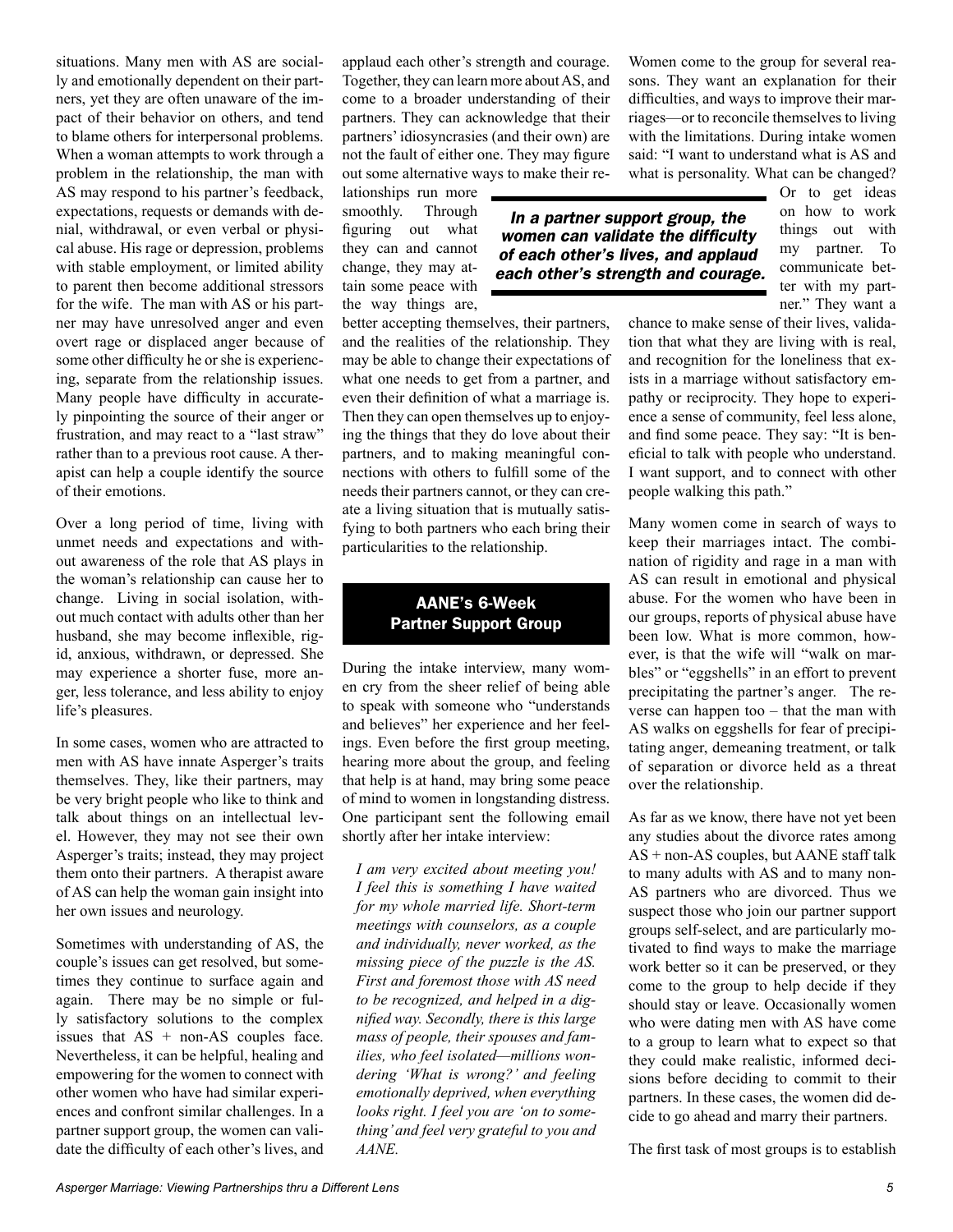situations. Many men with AS are socially and emotionally dependent on their partners, yet they are often unaware of the impact of their behavior on others, and tend to blame others for interpersonal problems. When a woman attempts to work through a problem in the relationship, the man with AS may respond to his partner's feedback, expectations, requests or demands with denial, withdrawal, or even verbal or physical abuse. His rage or depression, problems with stable employment, or limited ability to parent then become additional stressors for the wife. The man with AS or his partner may have unresolved anger and even overt rage or displaced anger because of some other difficulty he or she is experiencing, separate from the relationship issues. Many people have difficulty in accurately pinpointing the source of their anger or frustration, and may react to a "last straw" rather than to a previous root cause. A therapist can help a couple identify the source of their emotions.

Over a long period of time, living with unmet needs and expectations and without awareness of the role that AS plays in the woman's relationship can cause her to change. Living in social isolation, without much contact with adults other than her husband, she may become inflexible, rigid, anxious, withdrawn, or depressed. She may experience a shorter fuse, more anger, less tolerance, and less ability to enjoy life's pleasures.

In some cases, women who are attracted to men with AS have innate Asperger's traits themselves. They, like their partners, may be very bright people who like to think and talk about things on an intellectual level. However, they may not see their own Asperger's traits; instead, they may project them onto their partners. A therapist aware of AS can help the woman gain insight into her own issues and neurology.

Sometimes with understanding of AS, the couple's issues can get resolved, but sometimes they continue to surface again and again. There may be no simple or fully satisfactory solutions to the complex issues that  $AS + non-AS$  couples face. Nevertheless, it can be helpful, healing and empowering for the women to connect with other women who have had similar experiences and confront similar challenges. In a partner support group, the women can validate the difficulty of each other's lives, and applaud each other's strength and courage. Together, they can learn more about AS, and come to a broader understanding of their partners. They can acknowledge that their partners' idiosyncrasies (and their own) are not the fault of either one. They may figure out some alternative ways to make their re-

lationships run more smoothly. Through figuring out what they can and cannot change, they may attain some peace with the way things are,

better accepting themselves, their partners, and the realities of the relationship. They may be able to change their expectations of what one needs to get from a partner, and even their definition of what a marriage is. Then they can open themselves up to enjoying the things that they do love about their partners, and to making meaningful connections with others to fulfill some of the needs their partners cannot, or they can create a living situation that is mutually satisfying to both partners who each bring their particularities to the relationship.

### **AANE's 6-Week Partner Support Group**

During the intake interview, many women cry from the sheer relief of being able to speak with someone who "understands and believes" her experience and her feelings. Even before the first group meeting, hearing more about the group, and feeling that help is at hand, may bring some peace of mind to women in longstanding distress. One participant sent the following email shortly after her intake interview:

*I am very excited about meeting you! I feel this is something I have waited for my whole married life. Short-term meetings with counselors, as a couple and individually, never worked, as the missing piece of the puzzle is the AS. First and foremost those with AS need to be recognized, and helped in a dignified way. Secondly, there is this large mass of people, their spouses and families, who feel isolated—millions wondering 'What is wrong?' and feeling emotionally deprived, when everything looks right. I feel you are 'on to something' and feel very grateful to you and AANE.*

Women come to the group for several reasons. They want an explanation for their difficulties, and ways to improve their marriages—or to reconcile themselves to living with the limitations. During intake women said: "I want to understand what is AS and what is personality. What can be changed?

*In a partner support group, the women can validate the difficulty of each other's lives, and applaud each other's strength and courage.*

Or to get ideas on how to work things out with my partner. To communicate better with my partner." They want a

chance to make sense of their lives, validation that what they are living with is real, and recognition for the loneliness that exists in a marriage without satisfactory empathy or reciprocity. They hope to experience a sense of community, feel less alone, and find some peace. They say: "It is beneficial to talk with people who understand. I want support, and to connect with other people walking this path."

Many women come in search of ways to keep their marriages intact. The combination of rigidity and rage in a man with AS can result in emotional and physical abuse. For the women who have been in our groups, reports of physical abuse have been low. What is more common, however, is that the wife will "walk on marbles" or "eggshells" in an effort to prevent precipitating the partner's anger. The reverse can happen too – that the man with AS walks on eggshells for fear of precipitating anger, demeaning treatment, or talk of separation or divorce held as a threat over the relationship.

As far as we know, there have not yet been any studies about the divorce rates among AS + non-AS couples, but AANE staff talk to many adults with AS and to many non-AS partners who are divorced. Thus we suspect those who join our partner support groups self-select, and are particularly motivated to find ways to make the marriage work better so it can be preserved, or they come to the group to help decide if they should stay or leave. Occasionally women who were dating men with AS have come to a group to learn what to expect so that they could make realistic, informed decisions before deciding to commit to their partners. In these cases, the women did decide to go ahead and marry their partners.

The first task of most groups is to establish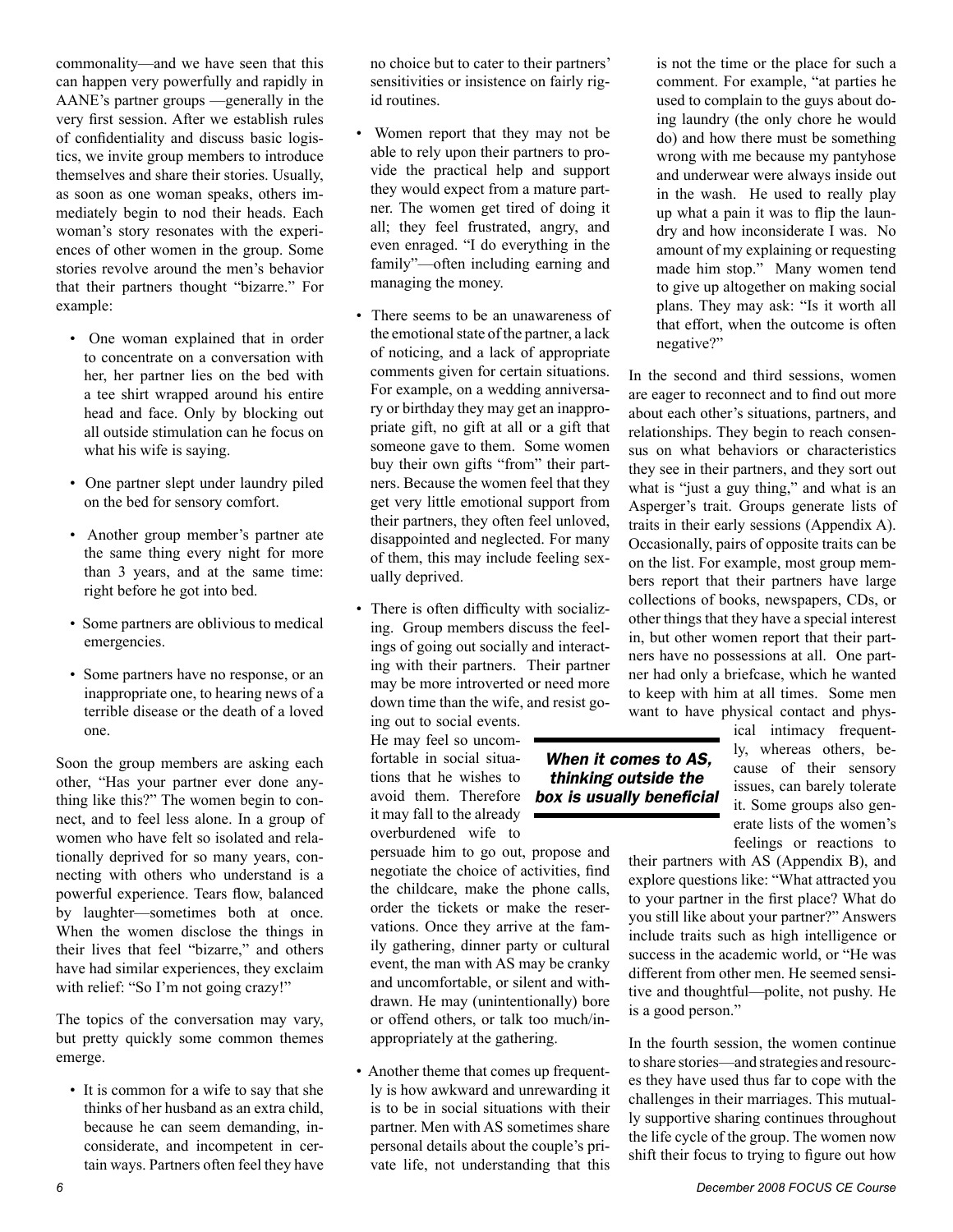commonality—and we have seen that this can happen very powerfully and rapidly in AANE's partner groups —generally in the very first session. After we establish rules of confidentiality and discuss basic logistics, we invite group members to introduce themselves and share their stories. Usually, as soon as one woman speaks, others immediately begin to nod their heads. Each woman's story resonates with the experiences of other women in the group. Some stories revolve around the men's behavior that their partners thought "bizarre." For example:

- One woman explained that in order to concentrate on a conversation with her, her partner lies on the bed with a tee shirt wrapped around his entire head and face. Only by blocking out all outside stimulation can he focus on what his wife is saying.
- One partner slept under laundry piled on the bed for sensory comfort.
- Another group member's partner ate the same thing every night for more than 3 years, and at the same time: right before he got into bed.
- Some partners are oblivious to medical emergencies.
- Some partners have no response, or an inappropriate one, to hearing news of a terrible disease or the death of a loved one.

Soon the group members are asking each other, "Has your partner ever done anything like this?" The women begin to connect, and to feel less alone. In a group of women who have felt so isolated and relationally deprived for so many years, connecting with others who understand is a powerful experience. Tears flow, balanced by laughter—sometimes both at once. When the women disclose the things in their lives that feel "bizarre," and others have had similar experiences, they exclaim with relief: "So I'm not going crazy!"

The topics of the conversation may vary, but pretty quickly some common themes emerge.

• It is common for a wife to say that she thinks of her husband as an extra child, because he can seem demanding, inconsiderate, and incompetent in certain ways. Partners often feel they have no choice but to cater to their partners' sensitivities or insistence on fairly rigid routines.

- Women report that they may not be able to rely upon their partners to provide the practical help and support they would expect from a mature partner. The women get tired of doing it all; they feel frustrated, angry, and even enraged. "I do everything in the family"—often including earning and managing the money.
- There seems to be an unawareness of the emotional state of the partner, a lack of noticing, and a lack of appropriate comments given for certain situations. For example, on a wedding anniversary or birthday they may get an inappropriate gift, no gift at all or a gift that someone gave to them. Some women buy their own gifts "from" their partners. Because the women feel that they get very little emotional support from their partners, they often feel unloved, disappointed and neglected. For many of them, this may include feeling sexually deprived.
- There is often difficulty with socializing. Group members discuss the feelings of going out socially and interacting with their partners. Their partner may be more introverted or need more down time than the wife, and resist go-

ing out to social events. He may feel so uncomfortable in social situations that he wishes to it may fall to the already overburdened wife to

persuade him to go out, propose and negotiate the choice of activities, find the childcare, make the phone calls, order the tickets or make the reservations. Once they arrive at the family gathering, dinner party or cultural event, the man with AS may be cranky and uncomfortable, or silent and withdrawn. He may (unintentionally) bore or offend others, or talk too much/inappropriately at the gathering.

• Another theme that comes up frequently is how awkward and unrewarding it is to be in social situations with their partner. Men with AS sometimes share personal details about the couple's private life, not understanding that this

is not the time or the place for such a comment. For example, "at parties he used to complain to the guys about doing laundry (the only chore he would do) and how there must be something wrong with me because my pantyhose and underwear were always inside out in the wash. He used to really play up what a pain it was to flip the laundry and how inconsiderate I was. No amount of my explaining or requesting made him stop." Many women tend to give up altogether on making social plans. They may ask: "Is it worth all that effort, when the outcome is often negative?"

In the second and third sessions, women are eager to reconnect and to find out more about each other's situations, partners, and relationships. They begin to reach consensus on what behaviors or characteristics they see in their partners, and they sort out what is "just a guy thing," and what is an Asperger's trait. Groups generate lists of traits in their early sessions (Appendix A). Occasionally, pairs of opposite traits can be on the list. For example, most group members report that their partners have large collections of books, newspapers, CDs, or other things that they have a special interest in, but other women report that their partners have no possessions at all. One partner had only a briefcase, which he wanted to keep with him at all times. Some men want to have physical contact and phys-

avoid them. Therefore *box is usually beneficialWhen it comes to AS, thinking outside the* 

ical intimacy frequently, whereas others, because of their sensory issues, can barely tolerate it. Some groups also generate lists of the women's feelings or reactions to

their partners with AS (Appendix B), and explore questions like: "What attracted you to your partner in the first place? What do you still like about your partner?" Answers include traits such as high intelligence or success in the academic world, or "He was different from other men. He seemed sensitive and thoughtful—polite, not pushy. He is a good person."

In the fourth session, the women continue to share stories—and strategies and resources they have used thus far to cope with the challenges in their marriages. This mutually supportive sharing continues throughout the life cycle of the group. The women now shift their focus to trying to figure out how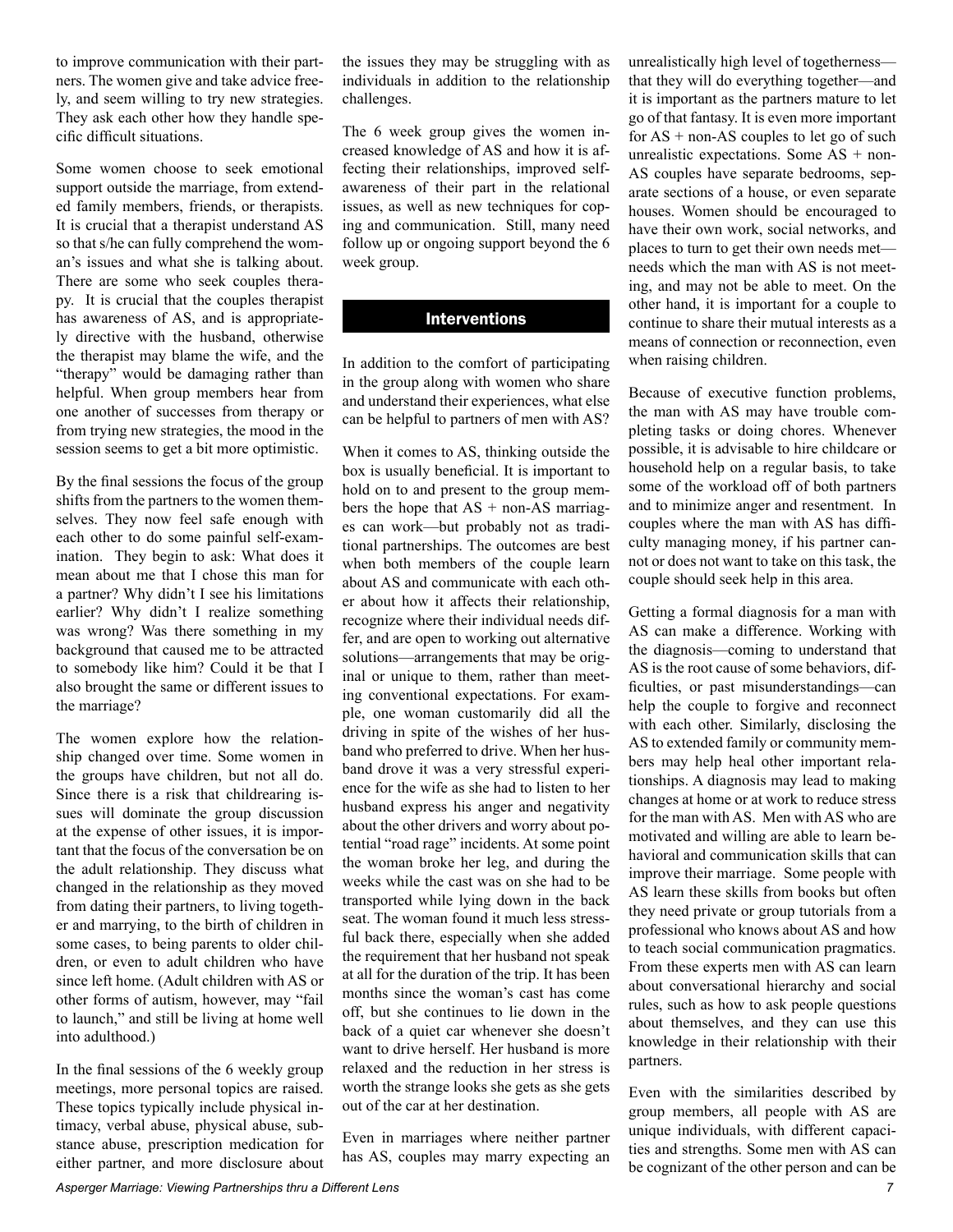to improve communication with their partners. The women give and take advice freely, and seem willing to try new strategies. They ask each other how they handle specific difficult situations.

Some women choose to seek emotional support outside the marriage, from extended family members, friends, or therapists. It is crucial that a therapist understand AS so that s/he can fully comprehend the woman's issues and what she is talking about. There are some who seek couples therapy. It is crucial that the couples therapist has awareness of AS, and is appropriately directive with the husband, otherwise the therapist may blame the wife, and the "therapy" would be damaging rather than helpful. When group members hear from one another of successes from therapy or from trying new strategies, the mood in the session seems to get a bit more optimistic.

By the final sessions the focus of the group shifts from the partners to the women themselves. They now feel safe enough with each other to do some painful self-examination. They begin to ask: What does it mean about me that I chose this man for a partner? Why didn't I see his limitations earlier? Why didn't I realize something was wrong? Was there something in my background that caused me to be attracted to somebody like him? Could it be that I also brought the same or different issues to the marriage?

The women explore how the relationship changed over time. Some women in the groups have children, but not all do. Since there is a risk that childrearing issues will dominate the group discussion at the expense of other issues, it is important that the focus of the conversation be on the adult relationship. They discuss what changed in the relationship as they moved from dating their partners, to living together and marrying, to the birth of children in some cases, to being parents to older children, or even to adult children who have since left home. (Adult children with AS or other forms of autism, however, may "fail to launch," and still be living at home well into adulthood.)

In the final sessions of the 6 weekly group meetings, more personal topics are raised. These topics typically include physical intimacy, verbal abuse, physical abuse, substance abuse, prescription medication for either partner, and more disclosure about the issues they may be struggling with as individuals in addition to the relationship challenges.

The 6 week group gives the women increased knowledge of AS and how it is affecting their relationships, improved selfawareness of their part in the relational issues, as well as new techniques for coping and communication. Still, many need follow up or ongoing support beyond the 6 week group.

#### **Interventions**

In addition to the comfort of participating in the group along with women who share and understand their experiences, what else can be helpful to partners of men with AS?

When it comes to AS, thinking outside the box is usually beneficial. It is important to hold on to and present to the group members the hope that  $AS + non-AS$  marriages can work—but probably not as traditional partnerships. The outcomes are best when both members of the couple learn about AS and communicate with each other about how it affects their relationship, recognize where their individual needs differ, and are open to working out alternative solutions—arrangements that may be original or unique to them, rather than meeting conventional expectations. For example, one woman customarily did all the driving in spite of the wishes of her husband who preferred to drive. When her husband drove it was a very stressful experience for the wife as she had to listen to her husband express his anger and negativity about the other drivers and worry about potential "road rage" incidents. At some point the woman broke her leg, and during the weeks while the cast was on she had to be transported while lying down in the back seat. The woman found it much less stressful back there, especially when she added the requirement that her husband not speak at all for the duration of the trip. It has been months since the woman's cast has come off, but she continues to lie down in the back of a quiet car whenever she doesn't want to drive herself. Her husband is more relaxed and the reduction in her stress is worth the strange looks she gets as she gets out of the car at her destination.

Even in marriages where neither partner has AS, couples may marry expecting an unrealistically high level of togetherness that they will do everything together—and it is important as the partners mature to let go of that fantasy. It is even more important for  $AS + non-AS$  couples to let go of such unrealistic expectations. Some  $AS + non-$ AS couples have separate bedrooms, separate sections of a house, or even separate houses. Women should be encouraged to have their own work, social networks, and places to turn to get their own needs met needs which the man with AS is not meeting, and may not be able to meet. On the other hand, it is important for a couple to continue to share their mutual interests as a means of connection or reconnection, even when raising children.

Because of executive function problems, the man with AS may have trouble completing tasks or doing chores. Whenever possible, it is advisable to hire childcare or household help on a regular basis, to take some of the workload off of both partners and to minimize anger and resentment. In couples where the man with AS has difficulty managing money, if his partner cannot or does not want to take on this task, the couple should seek help in this area.

Getting a formal diagnosis for a man with AS can make a difference. Working with the diagnosis—coming to understand that AS is the root cause of some behaviors, difficulties, or past misunderstandings—can help the couple to forgive and reconnect with each other. Similarly, disclosing the AS to extended family or community members may help heal other important relationships. A diagnosis may lead to making changes at home or at work to reduce stress for the man with AS. Men with AS who are motivated and willing are able to learn behavioral and communication skills that can improve their marriage. Some people with AS learn these skills from books but often they need private or group tutorials from a professional who knows about AS and how to teach social communication pragmatics. From these experts men with AS can learn about conversational hierarchy and social rules, such as how to ask people questions about themselves, and they can use this knowledge in their relationship with their partners.

Even with the similarities described by group members, all people with AS are unique individuals, with different capacities and strengths. Some men with AS can be cognizant of the other person and can be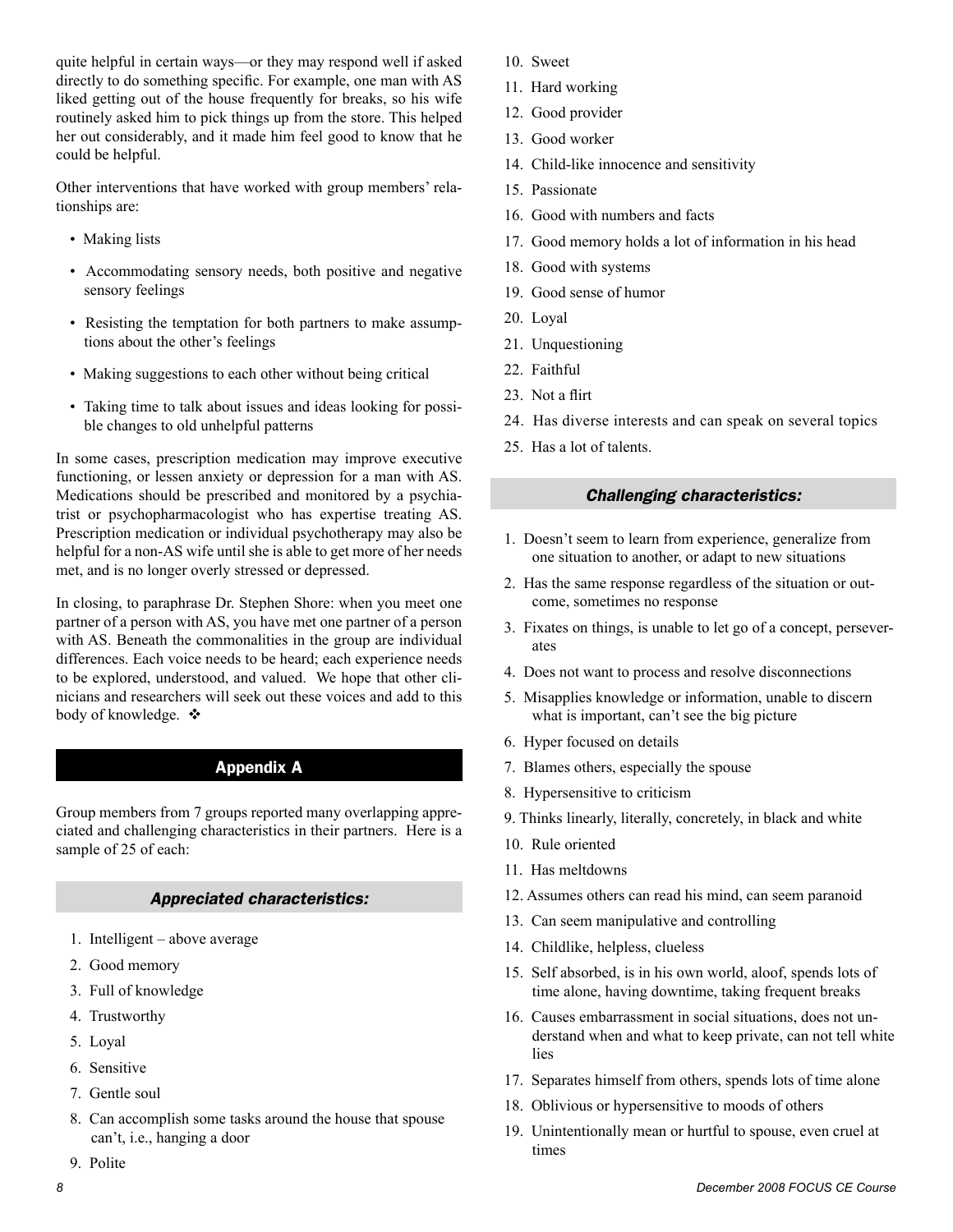quite helpful in certain ways—or they may respond well if asked directly to do something specific. For example, one man with AS liked getting out of the house frequently for breaks, so his wife routinely asked him to pick things up from the store. This helped her out considerably, and it made him feel good to know that he could be helpful.

Other interventions that have worked with group members' relationships are:

- Making lists
- Accommodating sensory needs, both positive and negative sensory feelings
- Resisting the temptation for both partners to make assumptions about the other's feelings
- Making suggestions to each other without being critical
- Taking time to talk about issues and ideas looking for possible changes to old unhelpful patterns

In some cases, prescription medication may improve executive functioning, or lessen anxiety or depression for a man with AS. Medications should be prescribed and monitored by a psychiatrist or psychopharmacologist who has expertise treating AS. Prescription medication or individual psychotherapy may also be helpful for a non-AS wife until she is able to get more of her needs met, and is no longer overly stressed or depressed.

In closing, to paraphrase Dr. Stephen Shore: when you meet one partner of a person with AS, you have met one partner of a person with AS. Beneath the commonalities in the group are individual differences. Each voice needs to be heard; each experience needs to be explored, understood, and valued. We hope that other clinicians and researchers will seek out these voices and add to this body of knowledge.  $\div$ 

## **Appendix A**

Group members from 7 groups reported many overlapping appreciated and challenging characteristics in their partners. Here is a sample of 25 of each:

#### *Appreciated characteristics:*

- 1. Intelligent above average
- 2. Good memory
- 3. Full of knowledge
- 4. Trustworthy
- 5. Loyal

9. Polite

- 6. Sensitive
- 7. Gentle soul
- 8. Can accomplish some tasks around the house that spouse can't, i.e., hanging a door
- 10. Sweet
- 11. Hard working
- 12. Good provider
- 13. Good worker
- 14. Child-like innocence and sensitivity
- 15. Passionate
- 16. Good with numbers and facts
- 17. Good memory holds a lot of information in his head
- 18. Good with systems
- 19. Good sense of humor
- 20. Loyal
- 21. Unquestioning
- 22. Faithful
- 23. Not a flirt
- 24. Has diverse interests and can speak on several topics
- 25. Has a lot of talents.

#### *Challenging characteristics:*

- 1. Doesn't seem to learn from experience, generalize from one situation to another, or adapt to new situations
- 2. Has the same response regardless of the situation or outcome, sometimes no response
- 3. Fixates on things, is unable to let go of a concept, perseverates
- 4. Does not want to process and resolve disconnections
- 5. Misapplies knowledge or information, unable to discern what is important, can't see the big picture
- 6. Hyper focused on details
- 7. Blames others, especially the spouse
- 8. Hypersensitive to criticism
- 9. Thinks linearly, literally, concretely, in black and white
- 10. Rule oriented
- 11. Has meltdowns
- 12. Assumes others can read his mind, can seem paranoid
- 13. Can seem manipulative and controlling
- 14. Childlike, helpless, clueless
- 15. Self absorbed, is in his own world, aloof, spends lots of time alone, having downtime, taking frequent breaks
- 16. Causes embarrassment in social situations, does not understand when and what to keep private, can not tell white lies
- 17. Separates himself from others, spends lots of time alone
- 18. Oblivious or hypersensitive to moods of others
- 19. Unintentionally mean or hurtful to spouse, even cruel at times

8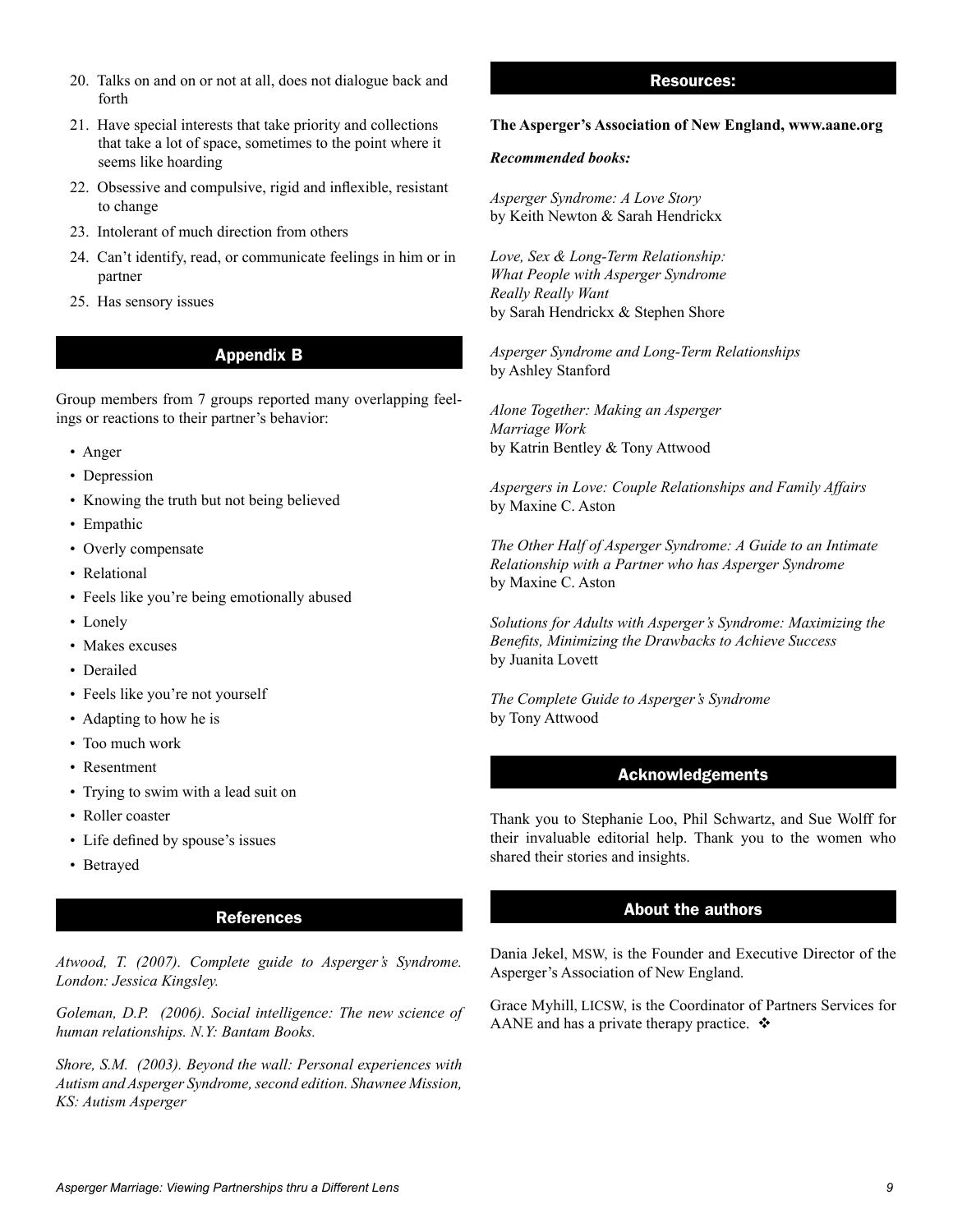- 20. Talks on and on or not at all, does not dialogue back and forth
- 21. Have special interests that take priority and collections that take a lot of space, sometimes to the point where it seems like hoarding
- 22. Obsessive and compulsive, rigid and inflexible, resistant to change
- 23. Intolerant of much direction from others
- 24. Can't identify, read, or communicate feelings in him or in partner
- 25. Has sensory issues

### **Appendix B**

Group members from 7 groups reported many overlapping feelings or reactions to their partner's behavior:

- Anger
- Depression
- Knowing the truth but not being believed
- Empathic
- Overly compensate
- Relational
- Feels like you're being emotionally abused
- Lonely
- Makes excuses
- Derailed
- Feels like you're not yourself
- Adapting to how he is
- Too much work
- Resentment
- Trying to swim with a lead suit on
- Roller coaster
- Life defined by spouse's issues
- Betrayed

### **References**

*Atwood, T. (2007). Complete guide to Asperger's Syndrome. London: Jessica Kingsley.*

*Goleman, D.P. (2006). Social intelligence: The new science of human relationships. N.Y: Bantam Books.*

*Shore, S.M. (2003). Beyond the wall: Personal experiences with Autism and Asperger Syndrome, second edition. Shawnee Mission, KS: Autism Asperger*

#### **Resources:**

#### **The Asperger's Association of New England, www.aane.org**

#### *Recommended books:*

*Asperger Syndrome: A Love Story* by Keith Newton & Sarah Hendrickx

*Love, Sex & Long-Term Relationship: What People with Asperger Syndrome Really Really Want* by Sarah Hendrickx & Stephen Shore

*Asperger Syndrome and Long-Term Relationships* by Ashley Stanford

*Alone Together: Making an Asperger Marriage Work* by Katrin Bentley & Tony Attwood

*Aspergers in Love: Couple Relationships and Family Affairs* by Maxine C. Aston

*The Other Half of Asperger Syndrome: A Guide to an Intimate Relationship with a Partner who has Asperger Syndrome* by Maxine C. Aston

*Solutions for Adults with Asperger's Syndrome: Maximizing the Benefits, Minimizing the Drawbacks to Achieve Success* by Juanita Lovett

*The Complete Guide to Asperger's Syndrome* by Tony Attwood

#### **Acknowledgements**

Thank you to Stephanie Loo, Phil Schwartz, and Sue Wolff for their invaluable editorial help. Thank you to the women who shared their stories and insights.

#### **About the authors**

Dania Jekel, MSW, is the Founder and Executive Director of the Asperger's Association of New England.

Grace Myhill, LICSW, is the Coordinator of Partners Services for AANE and has a private therapy practice.  $\mathbf{\hat{*}}$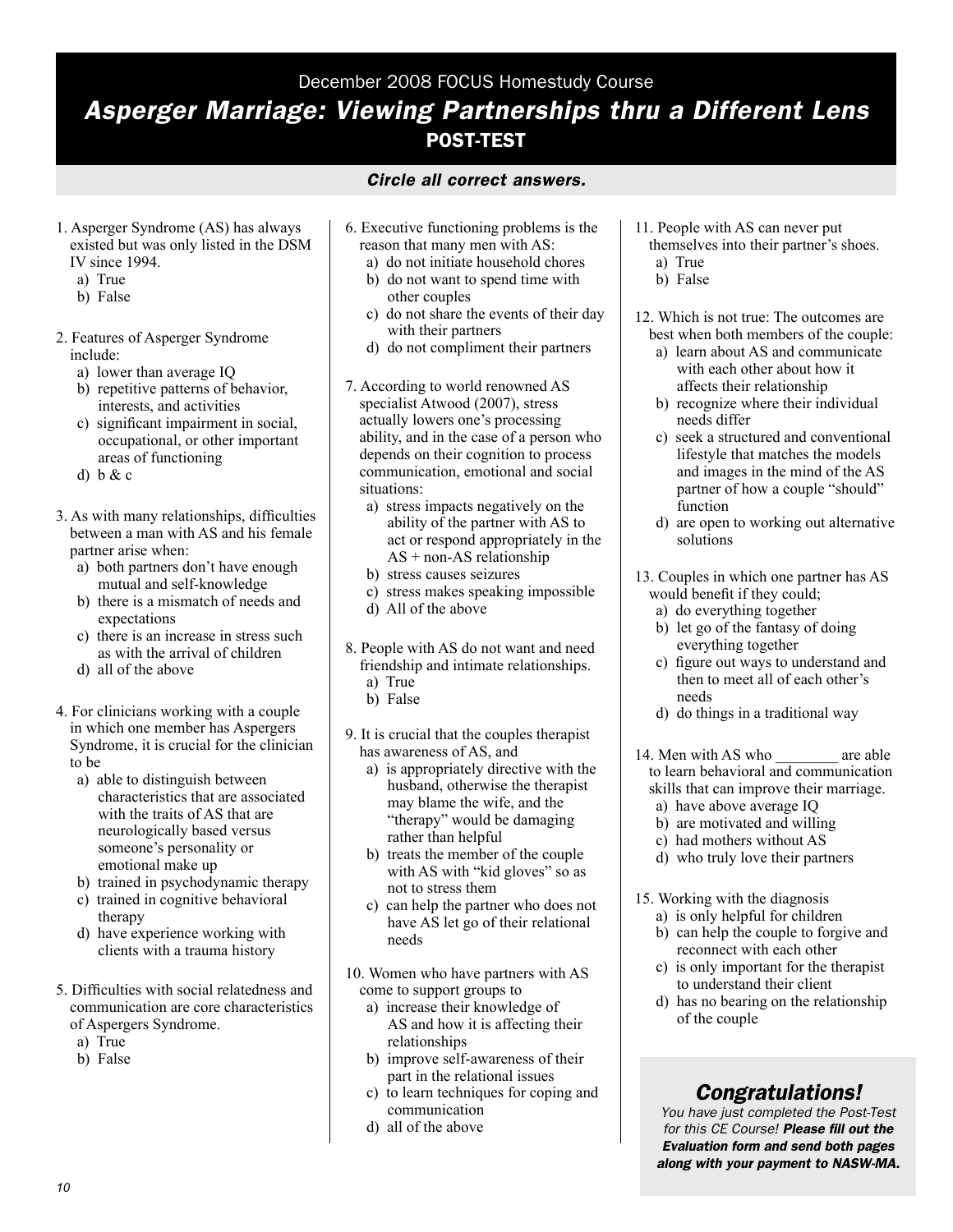#### December 2008 FOCUS Homestudy Course

## *Asperger Marriage: Viewing Partnerships thru a Different Lens* **Post-Test**

- *Circle all correct answers.*
- 1. Asperger Syndrome (AS) has always existed but was only listed in the DSM IV since 1994.
	- a) True
	- b) False
- 2. Features of Asperger Syndrome include:
	- a) lower than average IQ
	- b) repetitive patterns of behavior, interests, and activities
	- c) significant impairment in social, occupational, or other important areas of functioning
	- d)  $b & c$
- 3. As with many relationships, difficulties between a man with AS and his female partner arise when:
	- a) both partners don't have enough mutual and self-knowledge
	- b) there is a mismatch of needs and expectations
	- c) there is an increase in stress such as with the arrival of children
	- d) all of the above
- 4. For clinicians working with a couple in which one member has Aspergers Syndrome, it is crucial for the clinician to be
	- a) able to distinguish between characteristics that are associated with the traits of AS that are neurologically based versus someone's personality or emotional make up
	- b) trained in psychodynamic therapy
	- c) trained in cognitive behavioral therapy
	- d) have experience working with clients with a trauma history
- 5. Difficulties with social relatedness and communication are core characteristics of Aspergers Syndrome.
	- a) True
	- b) False
- 6. Executive functioning problems is the reason that many men with AS:
	- a) do not initiate household chores
	- b) do not want to spend time with other couples
	- c) do not share the events of their day with their partners
	- d) do not compliment their partners
- 7. According to world renowned AS specialist Atwood (2007), stress actually lowers one's processing ability, and in the case of a person who depends on their cognition to process communication, emotional and social situations:
	- a) stress impacts negatively on the ability of the partner with AS to act or respond appropriately in the  $AS + non-AS$  relationship
	- b) stress causes seizures
	- c) stress makes speaking impossible
	- d) All of the above
- 8. People with AS do not want and need friendship and intimate relationships. a) True
	- b) False
- 9. It is crucial that the couples therapist has awareness of AS, and
	- a) is appropriately directive with the husband, otherwise the therapist may blame the wife, and the "therapy" would be damaging rather than helpful
	- b) treats the member of the couple with AS with "kid gloves" so as not to stress them
	- c) can help the partner who does not have AS let go of their relational needs
- 10. Women who have partners with AS come to support groups to
	- a) increase their knowledge of AS and how it is affecting their relationships
	- b) improve self-awareness of their part in the relational issues
	- c) to learn techniques for coping and communication
	- d) all of the above
- 11. People with AS can never put themselves into their partner's shoes.
	- a) True
	- b) False

12. Which is not true: The outcomes are best when both members of the couple:

- a) learn about AS and communicate with each other about how it affects their relationship
- b) recognize where their individual needs differ
- c) seek a structured and conventional lifestyle that matches the models and images in the mind of the AS partner of how a couple "should" function
- d) are open to working out alternative solutions
- 13. Couples in which one partner has AS would benefit if they could;
	- a) do everything together
	- b) let go of the fantasy of doing everything together
	- c) figure out ways to understand and then to meet all of each other's needs
	- d) do things in a traditional way
- 14. Men with AS who are able to learn behavioral and communication skills that can improve their marriage.
	- a) have above average IQ
	- b) are motivated and willing
	- c) had mothers without AS
	- d) who truly love their partners
- 15. Working with the diagnosis a) is only helpful for children
	- b) can help the couple to forgive and reconnect with each other
	- c) is only important for the therapist to understand their client
	- d) has no bearing on the relationship of the couple

## *Congratulations!*

*You have just completed the Post-Test for this CE Course! Please fill out the Evaluation form and send both pages along with your payment to NASW-MA.*